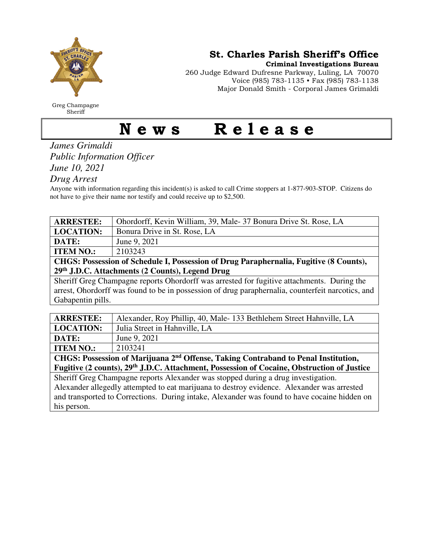

Greg Champagne Sheriff

St. Charles Parish Sheriff's Office

Criminal Investigations Bureau

260 Judge Edward Dufresne Parkway, Luling, LA 70070 Voice (985) 783-1135 • Fax (985) 783-1138 Major Donald Smith - Corporal James Grimaldi

## News Release

*James Grimaldi Public Information Officer June 10, 2021* 

*Drug Arrest* 

Anyone with information regarding this incident(s) is asked to call Crime stoppers at 1-877-903-STOP. Citizens do not have to give their name nor testify and could receive up to \$2,500.

| <b>ARRESTEE:</b>                                                                                                                                                              | Ohordorff, Kevin William, 39, Male-37 Bonura Drive St. Rose, LA     |  |
|-------------------------------------------------------------------------------------------------------------------------------------------------------------------------------|---------------------------------------------------------------------|--|
| <b>LOCATION:</b>                                                                                                                                                              | Bonura Drive in St. Rose, LA                                        |  |
| DATE:                                                                                                                                                                         | June 9, 2021                                                        |  |
| <b>ITEM NO.:</b>                                                                                                                                                              | 2103243                                                             |  |
| CHGS: Possession of Schedule I, Possession of Drug Paraphernalia, Fugitive (8 Counts),                                                                                        |                                                                     |  |
| 29th J.D.C. Attachments (2 Counts), Legend Drug                                                                                                                               |                                                                     |  |
| Sheriff Greg Champagne reports Ohordorff was arrested for fugitive attachments. During the                                                                                    |                                                                     |  |
| arrest, Ohordorff was found to be in possession of drug paraphernalia, counterfeit narcotics, and                                                                             |                                                                     |  |
| Gabapentin pills.                                                                                                                                                             |                                                                     |  |
|                                                                                                                                                                               |                                                                     |  |
| <b>ARRESTEE:</b>                                                                                                                                                              | Alexander, Roy Phillip, 40, Male-133 Bethlehem Street Hahnville, LA |  |
| <b>LOCATION:</b>                                                                                                                                                              | Julia Street in Hahnville, LA                                       |  |
| DATE:                                                                                                                                                                         | June 9, 2021                                                        |  |
| <b>ITEM NO.:</b>                                                                                                                                                              | 2103241                                                             |  |
| CHGS: Possession of Marijuana 2 <sup>nd</sup> Offense, Taking Contraband to Penal Institution,                                                                                |                                                                     |  |
| Fugitive (2 counts), 29 <sup>th</sup> J.D.C. Attachment, Possession of Cocaine, Obstruction of Justice                                                                        |                                                                     |  |
| $\frac{1}{2}$ , $\frac{1}{2}$ , $\frac{1}{2}$ , $\frac{1}{2}$ , $\frac{1}{2}$ , $\frac{1}{2}$ , $\frac{1}{2}$ , $\frac{1}{2}$ , $\frac{1}{2}$ , $\frac{1}{2}$ , $\frac{1}{2}$ |                                                                     |  |

Sheriff Greg Champagne reports Alexander was stopped during a drug investigation. Alexander allegedly attempted to eat marijuana to destroy evidence. Alexander was arrested and transported to Corrections. During intake, Alexander was found to have cocaine hidden on his person.